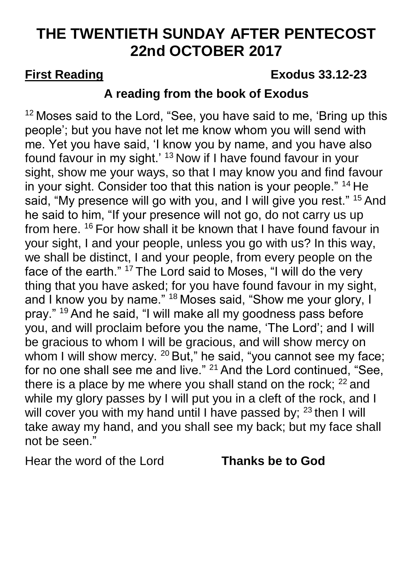# **THE TWENTIETH SUNDAY AFTER PENTECOST 22nd OCTOBER 2017**

## **First Reading Exodus 33.12-23**

## **A reading from the book of Exodus**

 $12$  Moses said to the Lord, "See, you have said to me, 'Bring up this people'; but you have not let me know whom you will send with me. Yet you have said, 'I know you by name, and you have also found favour in my sight.' <sup>13</sup> Now if I have found favour in your sight, show me your ways, so that I may know you and find favour in your sight. Consider too that this nation is your people." <sup>14</sup> He said, "My presence will go with you, and I will give you rest." <sup>15</sup> And he said to him, "If your presence will not go, do not carry us up from here. <sup>16</sup> For how shall it be known that I have found favour in your sight, I and your people, unless you go with us? In this way, we shall be distinct, I and your people, from every people on the face of the earth." <sup>17</sup> The Lord said to Moses, "I will do the very thing that you have asked; for you have found favour in my sight, and I know you by name." <sup>18</sup> Moses said, "Show me your glory, I pray." <sup>19</sup> And he said, "I will make all my goodness pass before you, and will proclaim before you the name, 'The Lord'; and I will be gracious to whom I will be gracious, and will show mercy on whom I will show mercy. <sup>20</sup> But," he said, "you cannot see my face; for no one shall see me and live." <sup>21</sup> And the Lord continued, "See, there is a place by me where you shall stand on the rock;  $22$  and while my glory passes by I will put you in a cleft of the rock, and I will cover you with my hand until I have passed by;  $23$  then I will take away my hand, and you shall see my back; but my face shall not be seen."

Hear the word of the Lord **Thanks be to God**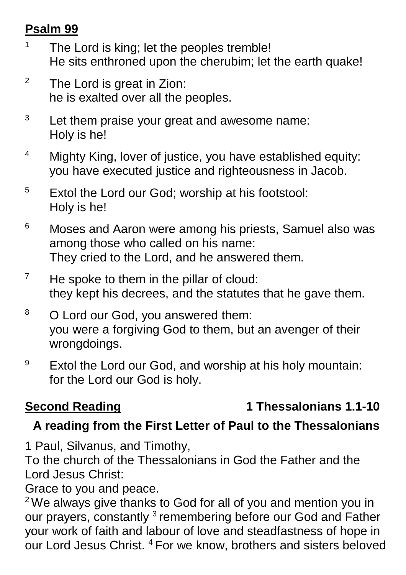## **Psalm 99**

- <sup>1</sup> The Lord is king; let the peoples tremble! He sits enthroned upon the cherubim; let the earth quake!
- $2^2$  The Lord is great in Zion: he is exalted over all the peoples.
- <sup>3</sup> Let them praise your great and awesome name: Holy is he!
- <sup>4</sup> Mighty King, lover of justice, you have established equity: you have executed justice and righteousness in Jacob.
- <sup>5</sup> Extol the Lord our God; worship at his footstool: Holy is he!
- <sup>6</sup> Moses and Aaron were among his priests, Samuel also was among those who called on his name: They cried to the Lord, and he answered them.
- $7$  He spoke to them in the pillar of cloud: they kept his decrees, and the statutes that he gave them.
- <sup>8</sup> O Lord our God, you answered them: you were a forgiving God to them, but an avenger of their wrongdoings.
- <sup>9</sup> Extol the Lord our God, and worship at his holy mountain: for the Lord our God is holy.

## **Second Reading 1 Thessalonians 1.1-10**

## **A reading from the First Letter of Paul to the Thessalonians**

1 Paul, Silvanus, and Timothy,

To the church of the Thessalonians in God the Father and the Lord Jesus Christ:

Grace to you and peace.

<sup>2</sup> We always give thanks to God for all of you and mention you in our prayers, constantly <sup>3</sup> remembering before our God and Father your work of faith and labour of love and steadfastness of hope in our Lord Jesus Christ. <sup>4</sup> For we know, brothers and sisters beloved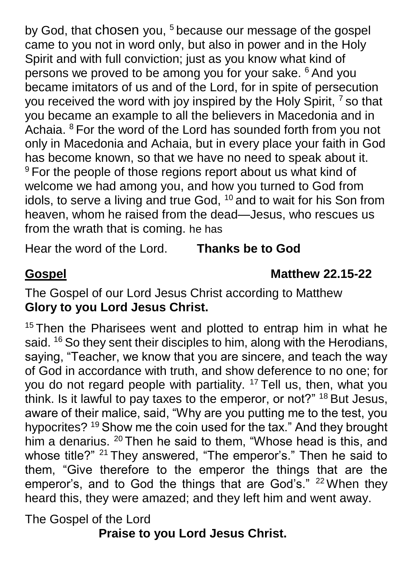by God, that chosen you,  $5$  because our message of the gospel came to you not in word only, but also in power and in the Holy Spirit and with full conviction; just as you know what kind of persons we proved to be among you for your sake. <sup>6</sup> And you became imitators of us and of the Lord, for in spite of persecution you received the word with joy inspired by the Holy Spirit,  $<sup>7</sup>$  so that</sup> you became an example to all the believers in Macedonia and in Achaia. <sup>8</sup> For the word of the Lord has sounded forth from you not only in Macedonia and Achaia, but in every place your faith in God has become known, so that we have no need to speak about it. <sup>9</sup> For the people of those regions report about us what kind of welcome we had among you, and how you turned to God from idols, to serve a living and true God, <sup>10</sup> and to wait for his Son from heaven, whom he raised from the dead—Jesus, who rescues us from the wrath that is coming. he has

Hear the word of the Lord. **Thanks be to God**

### **Gospel Matthew 22.15-22**

The Gospel of our Lord Jesus Christ according to Matthew **Glory to you Lord Jesus Christ.**

<sup>15</sup> Then the Pharisees went and plotted to entrap him in what he said. <sup>16</sup> So they sent their disciples to him, along with the Herodians, saying, "Teacher, we know that you are sincere, and teach the way of God in accordance with truth, and show deference to no one; for you do not regard people with partiality.  $17$  Tell us, then, what you think. Is it lawful to pay taxes to the emperor, or not?" <sup>18</sup> But Jesus, aware of their malice, said, "Why are you putting me to the test, you hypocrites? <sup>19</sup> Show me the coin used for the tax." And they brought him a denarius. <sup>20</sup> Then he said to them, "Whose head is this, and whose title?" <sup>21</sup> They answered, "The emperor's." Then he said to them, "Give therefore to the emperor the things that are the emperor's, and to God the things that are God's." <sup>22</sup> When they heard this, they were amazed; and they left him and went away.

The Gospel of the Lord

**Praise to you Lord Jesus Christ.**